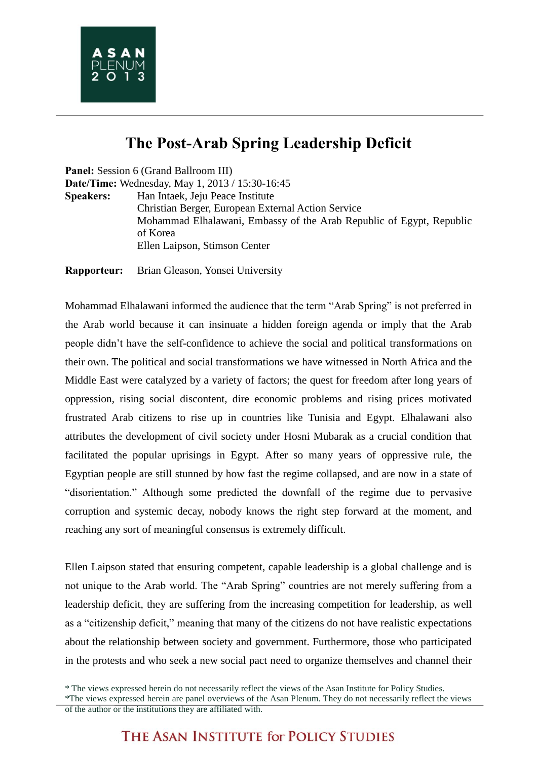## **The Post-Arab Spring Leadership Deficit**

**Panel:** Session 6 (Grand Ballroom III) **Date/Time:** Wednesday, May 1, 2013 / 15:30-16:45 **Speakers:** Han Intaek, Jeju Peace Institute Christian Berger, European External Action Service Mohammad Elhalawani, Embassy of the Arab Republic of Egypt, Republic of Korea Ellen Laipson, Stimson Center

**Rapporteur:** Brian Gleason, Yonsei University

Mohammad Elhalawani informed the audience that the term "Arab Spring" is not preferred in the Arab world because it can insinuate a hidden foreign agenda or imply that the Arab people didn't have the self-confidence to achieve the social and political transformations on their own. The political and social transformations we have witnessed in North Africa and the Middle East were catalyzed by a variety of factors; the quest for freedom after long years of oppression, rising social discontent, dire economic problems and rising prices motivated frustrated Arab citizens to rise up in countries like Tunisia and Egypt. Elhalawani also attributes the development of civil society under Hosni Mubarak as a crucial condition that facilitated the popular uprisings in Egypt. After so many years of oppressive rule, the Egyptian people are still stunned by how fast the regime collapsed, and are now in a state of "disorientation." Although some predicted the downfall of the regime due to pervasive corruption and systemic decay, nobody knows the right step forward at the moment, and reaching any sort of meaningful consensus is extremely difficult.

Ellen Laipson stated that ensuring competent, capable leadership is a global challenge and is not unique to the Arab world. The "Arab Spring" countries are not merely suffering from a leadership deficit, they are suffering from the increasing competition for leadership, as well as a "citizenship deficit," meaning that many of the citizens do not have realistic expectations about the relationship between society and government. Furthermore, those who participated in the protests and who seek a new social pact need to organize themselves and channel their

<sup>\*</sup> The views expressed herein do not necessarily reflect the views of the Asan Institute for Policy Studies.

<sup>\*</sup>The views expressed herein are panel overviews of the Asan Plenum. They do not necessarily reflect the views of the author or the institutions they are affiliated with.